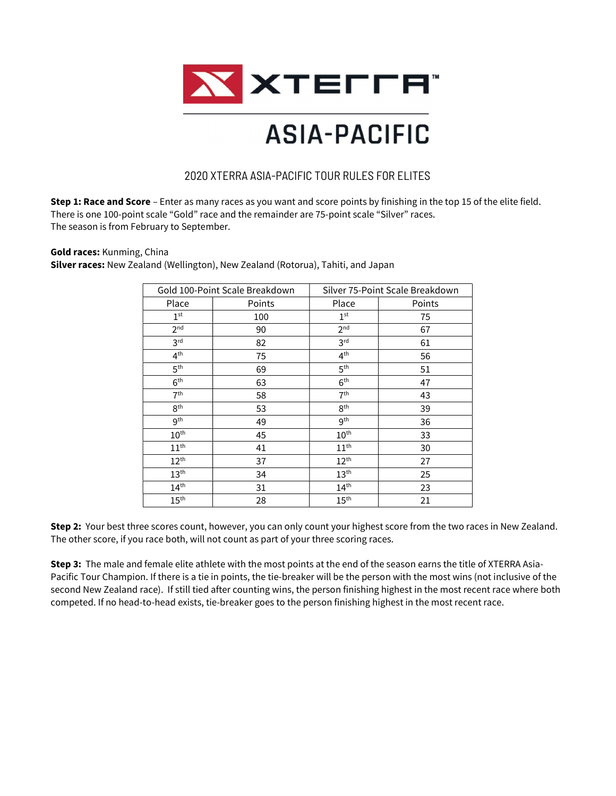

## **ASIA-PACIFIC**

### 2020 XTERRA ASIA-PACIFIC TOUR RULES FOR ELITES

Step 1: Race and Score – Enter as many races as you want and score points by finishing in the top 15 of the elite field. There is one 100-point scale "Gold" race and the remainder are 75-point scale "Silver" races. The season is from February to September.

#### Gold races: Kunming, China

Silver races: New Zealand (Wellington), New Zealand (Rotorua), Tahiti, and Japan

| Gold 100-Point Scale Breakdown |        | Silver 75-Point Scale Breakdown |        |  |
|--------------------------------|--------|---------------------------------|--------|--|
| Place                          | Points | Place                           | Points |  |
| 1 <sup>st</sup>                | 100    | 1 <sup>st</sup>                 | 75     |  |
| 2 <sup>nd</sup>                | 90     | 2 <sup>nd</sup>                 | 67     |  |
| 3 <sup>rd</sup>                | 82     | 3 <sup>rd</sup>                 | 61     |  |
| 4 <sup>th</sup>                | 75     | 4 <sup>th</sup>                 | 56     |  |
| 5 <sup>th</sup>                | 69     | 5 <sup>th</sup>                 | 51     |  |
| 6 <sup>th</sup>                | 63     | 6 <sup>th</sup>                 | 47     |  |
| 7 <sup>th</sup>                | 58     | 7 <sup>th</sup>                 | 43     |  |
| 8 <sup>th</sup>                | 53     | 8 <sup>th</sup>                 | 39     |  |
| <b>gth</b>                     | 49     | 9 <sup>th</sup>                 | 36     |  |
| 10 <sup>th</sup>               | 45     | 10 <sup>th</sup>                | 33     |  |
| 11 <sup>th</sup>               | 41     | 11 <sup>th</sup>                | 30     |  |
| $12^{th}$                      | 37     | $12^{\text{th}}$                | 27     |  |
| 13 <sup>th</sup>               | 34     | 13 <sup>th</sup>                | 25     |  |
| $14^{\text{th}}$               | 31     | 14 <sup>th</sup>                | 23     |  |
| 15 <sup>th</sup>               | 28     | 15 <sup>th</sup>                | 21     |  |

Step 2: Your best three scores count, however, you can only count your highest score from the two races in New Zealand. The other score, if you race both, will not count as part of your three scoring races.

Step 3: The male and female elite athlete with the most points at the end of the season earns the title of XTERRA Asia-Pacific Tour Champion. If there is a tie in points, the tie-breaker will be the person with the most wins (not inclusive of the second New Zealand race). If still tied after counting wins, the person finishing highest in the most recent race where both competed. If no head-to-head exists, tie-breaker goes to the person finishing highest in the most recent race.